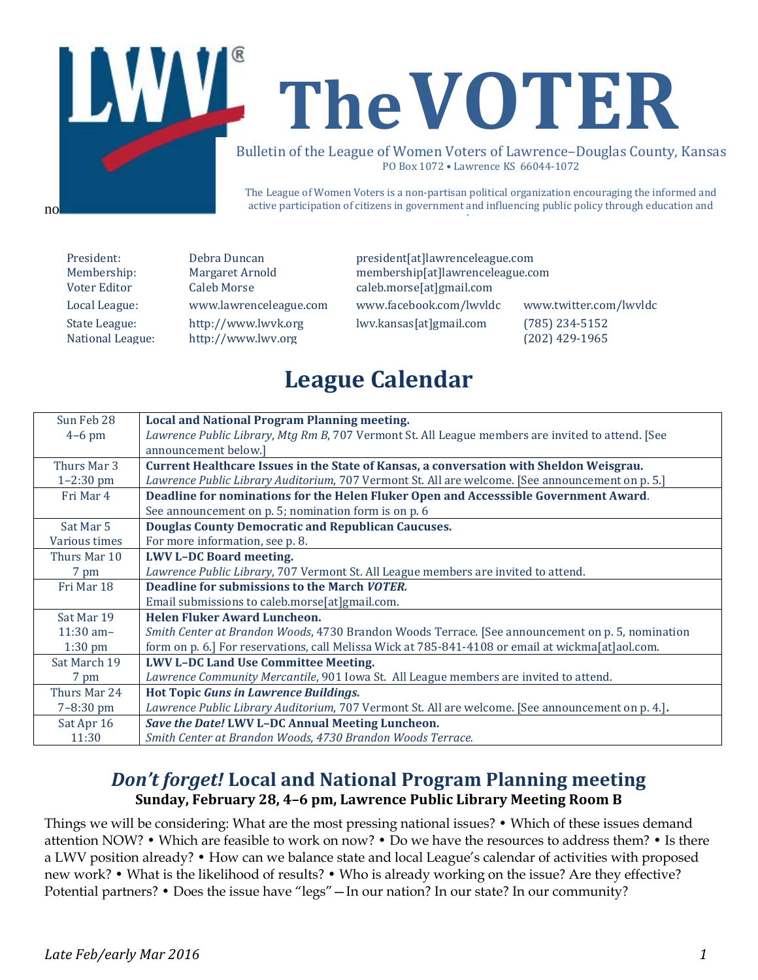

The League of Women Voters is a non-partisan political organization encouraging the informed and active participation of citizens in government and influencing public policy through education and

no

State League: [http://www.lwvk.org](http://www.lwvk.org/) lwv.kansas[at]gmail.com (785) 234-5152<br>National League: http://www.lwv.org (202) 429-1965 [http://www.lwv.org](http://www.lwv.org/)

President: Debra Duncan president[at]lawrenceleague.com<br>
Membership: Margaret Arnold membership[at]lawrenceleague.com Membership: Margaret Arnold membership[at]lawrenceleague.com<br>Voter Editor Caleb Morse caleb.morse[at]gmail.com caleb.morse[at]gmail.com

Local League: www.lawrenceleague.com [www.facebook.com/lwvldc](http://www.facebook.com/lwvldc) www.twitter.com/lwvldc

## **League Calendar**

| Sun Feb 28    | <b>Local and National Program Planning meeting.</b>                                               |  |  |  |
|---------------|---------------------------------------------------------------------------------------------------|--|--|--|
| $4-6$ pm      | Lawrence Public Library, Mtg Rm B, 707 Vermont St. All League members are invited to attend. [See |  |  |  |
|               | announcement below.]                                                                              |  |  |  |
| Thurs Mar 3   | Current Healthcare Issues in the State of Kansas, a conversation with Sheldon Weisgrau.           |  |  |  |
| $1 - 2:30$ pm | Lawrence Public Library Auditorium, 707 Vermont St. All are welcome. [See announcement on p. 5.]  |  |  |  |
| Fri Mar 4     | Deadline for nominations for the Helen Fluker Open and Accesssible Government Award.              |  |  |  |
|               | See announcement on p. 5; nomination form is on p. 6                                              |  |  |  |
| Sat Mar 5     | <b>Douglas County Democratic and Republican Caucuses.</b>                                         |  |  |  |
| Various times | For more information, see p. 8.                                                                   |  |  |  |
| Thurs Mar 10  | <b>LWV L-DC Board meeting.</b>                                                                    |  |  |  |
| 7 pm          | Lawrence Public Library, 707 Vermont St. All League members are invited to attend.                |  |  |  |
| Fri Mar 18    | Deadline for submissions to the March VOTER.                                                      |  |  |  |
|               | Email submissions to caleb.morse[at]gmail.com.                                                    |  |  |  |
| Sat Mar 19    | Helen Fluker Award Luncheon.                                                                      |  |  |  |
| $11:30$ am-   | Smith Center at Brandon Woods, 4730 Brandon Woods Terrace. [See announcement on p. 5, nomination  |  |  |  |
| $1:30$ pm     | form on p. 6.] For reservations, call Melissa Wick at 785-841-4108 or email at wickma[at]aol.com. |  |  |  |
| Sat March 19  | <b>LWV L-DC Land Use Committee Meeting.</b>                                                       |  |  |  |
| 7 pm          | Lawrence Community Mercantile, 901 Iowa St. All League members are invited to attend.             |  |  |  |
| Thurs Mar 24  | <b>Hot Topic Guns in Lawrence Buildings.</b>                                                      |  |  |  |
| $7 - 8:30$ pm | Lawrence Public Library Auditorium, 707 Vermont St. All are welcome. [See announcement on p. 4.]. |  |  |  |
| Sat Apr 16    | Save the Date! LWV L-DC Annual Meeting Luncheon.                                                  |  |  |  |
| 11:30         | Smith Center at Brandon Woods, 4730 Brandon Woods Terrace.                                        |  |  |  |

#### *Don't forget!* **Local and National Program Planning meeting Sunday, February 28, 4–6 pm, Lawrence Public Library Meeting Room B**

Things we will be considering: What are the most pressing national issues? • Which of these issues demand attention NOW? • Which are feasible to work on now? • Do we have the resources to address them? • Is there a LWV position already? • How can we balance state and local League's calendar of activities with proposed new work? • What is the likelihood of results? • Who is already working on the issue? Are they effective? Potential partners? • Does the issue have "legs" — In our nation? In our state? In our community?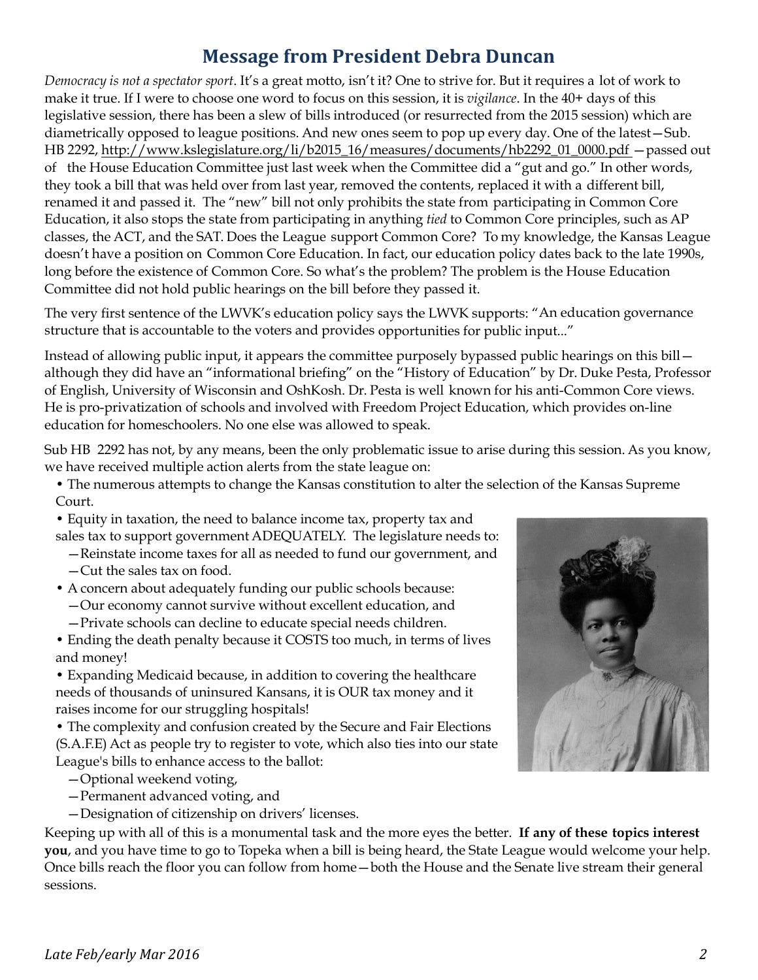### **Message from President Debra Duncan**

*Democracy is not a spectator sport*. It's a great motto, isn't it? One to strive for. But it requires a lot of work to make it true. If I were to choose one word to focus on this session, it is *vigilance*. In the 40+ days of this legislative session, there has been a slew of bills introduced (or resurrected from the 2015 session) which are diametrically opposed to league positions. And new ones seem to pop up every day. One of the latest—Sub. HB 2292, http://[www.kslegislature.org/li/b2015\\_16/measures/documents/hb2292\\_01\\_0000.pdf](http://www.kslegislature.org/li/b2015_16/measures/documents/hb2292_01_0000.pdf) —passed out of the House Education Committee just last week when the Committee did a "gut and go." In other words, they took a bill that was held over from last year, removed the contents, replaced it with a different bill, renamed it and passed it. The "new" bill not only prohibits the state from participating in Common Core Education, it also stops the state from participating in anything *tied* to Common Core principles, such as AP classes, the ACT, and the SAT. Does the League support Common Core? To my knowledge, the Kansas League doesn't have a position on Common Core Education. In fact, our education policy dates back to the late 1990s, long before the existence of Common Core. So what's the problem? The problem is the House Education Committee did not hold public hearings on the bill before they passed it.

The very first sentence of the LWVK's education policy says the LWVK supports: "An education governance structure that is accountable to the voters and provides opportunities for public input..."

Instead of allowing public input, it appears the committee purposely bypassed public hearings on this bill although they did have an "informational briefing" on the "History of Education" by Dr. Duke Pesta, Professor of English, University of Wisconsin and OshKosh. Dr. Pesta is well known for his anti-Common Core views. He is pro-privatization of schools and involved with Freedom Project Education, which provides on-line education for homeschoolers. No one else was allowed to speak.

Sub HB 2292 has not, by any means, been the only problematic issue to arise during this session. As you know, we have received multiple action alerts from the state league on:

- The numerous attempts to change the Kansas constitution to alter the selection of the Kansas Supreme Court.
- Equity in taxation, the need to balance income tax, property tax and sales tax to support government ADEQUATELY. The legislature needs to:
	- —Reinstate income taxes for all as needed to fund our government, and
	- —Cut the sales tax on food.
- A concern about adequately funding our public schools because: —Our economy cannot survive without excellent education, and
	- —Private schools can decline to educate special needs children.
- Ending the death penalty because it COSTS too much, in terms of lives and money!

• Expanding Medicaid because, in addition to covering the healthcare needs of thousands of uninsured Kansans, it is OUR tax money and it raises income for our struggling hospitals!

• The complexity and confusion created by the Secure and Fair Elections (S.A.F.E) Act as people try to register to vote, which also ties into our state League's bills to enhance access to the ballot:

- —Optional weekend voting,
- —Permanent advanced voting, and
- —Designation of citizenship on drivers' licenses.

Keeping up with all of this is a monumental task and the more eyes the better. **If any of these topics interest you**, and you have time to go to Topeka when a bill is being heard, the State League would welcome your help. Once bills reach the floor you can follow from home—both the House and the Senate live stream their general sessions.

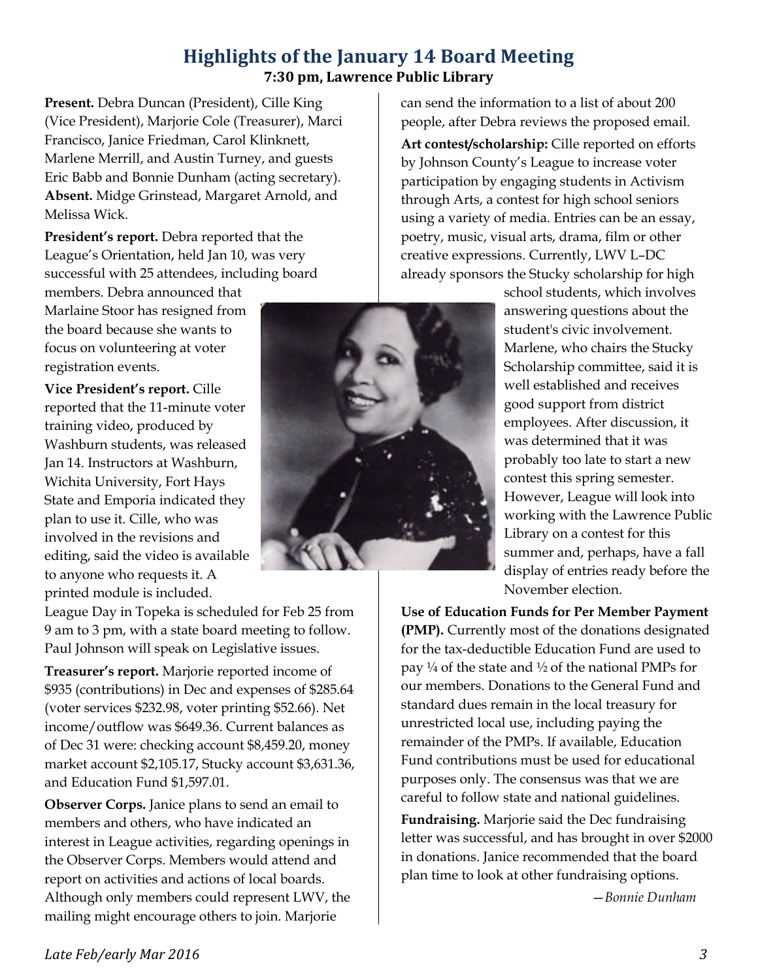#### **Highlights of the January 14 Board Meeting 7:30 pm, Lawrence Public Library**

**Present.** Debra Duncan (President), Cille King (Vice President), Marjorie Cole (Treasurer), Marci Francisco, Janice Friedman, Carol Klinknett, Marlene Merrill, and Austin Turney, and guests Eric Babb and Bonnie Dunham (acting secretary). **Absent.** Midge Grinstead, Margaret Arnold, and Melissa Wick.

**President's report.** Debra reported that the League's Orientation, held Jan 10, was very successful with 25 attendees, including board

members. Debra announced that Marlaine Stoor has resigned from the board because she wants to focus on volunteering at voter registration events.

**Vice President's report.** Cille reported that the 11-minute voter training video, produced by Washburn students, was released Jan 14. Instructors at Washburn, Wichita University, Fort Hays State and Emporia indicated they plan to use it. Cille, who was involved in the revisions and editing, said the video is available to anyone who requests it. A printed module is included.

League Day in Topeka is scheduled for Feb 25 from 9 am to 3 pm, with a state board meeting to follow. Paul Johnson will speak on Legislative issues.

**Treasurer's report.** Marjorie reported income of \$935 (contributions) in Dec and expenses of \$285.64 (voter services \$232.98, voter printing \$52.66). Net income/outflow was \$649.36. Current balances as of Dec 31 were: checking account \$8,459.20, money market account \$2,105.17, Stucky account \$3,631.36, and Education Fund \$1,597.01.

**Observer Corps.** Janice plans to send an email to members and others, who have indicated an interest in League activities, regarding openings in the Observer Corps. Members would attend and report on activities and actions of local boards. Although only members could represent LWV, the mailing might encourage others to join. Marjorie



can send the information to a list of about 200 people, after Debra reviews the proposed email.

**Art contest/scholarship:** Cille reported on efforts by Johnson County's League to increase voter participation by engaging students in Activism through Arts, a contest for high school seniors using a variety of media. Entries can be an essay, poetry, music, visual arts, drama, film or other creative expressions. Currently, LWV L–DC already sponsors the Stucky scholarship for high

> school students, which involves answering questions about the student's civic involvement. Marlene, who chairs the Stucky Scholarship committee, said it is well established and receives good support from district employees. After discussion, it was determined that it was probably too late to start a new contest this spring semester. However, League will look into working with the Lawrence Public Library on a contest for this summer and, perhaps, have a fall display of entries ready before the November election.

**Use of Education Funds for Per Member Payment (PMP).** Currently most of the donations designated for the tax-deductible Education Fund are used to pay  $\frac{1}{4}$  of the state and  $\frac{1}{2}$  of the national PMPs for our members. Donations to the General Fund and standard dues remain in the local treasury for unrestricted local use, including paying the remainder of the PMPs. If available, Education Fund contributions must be used for educational purposes only. The consensus was that we are careful to follow state and national guidelines.

**Fundraising.** Marjorie said the Dec fundraising letter was successful, and has brought in over \$2000 in donations. Janice recommended that the board plan time to look at other fundraising options.

—*Bonnie Dunham*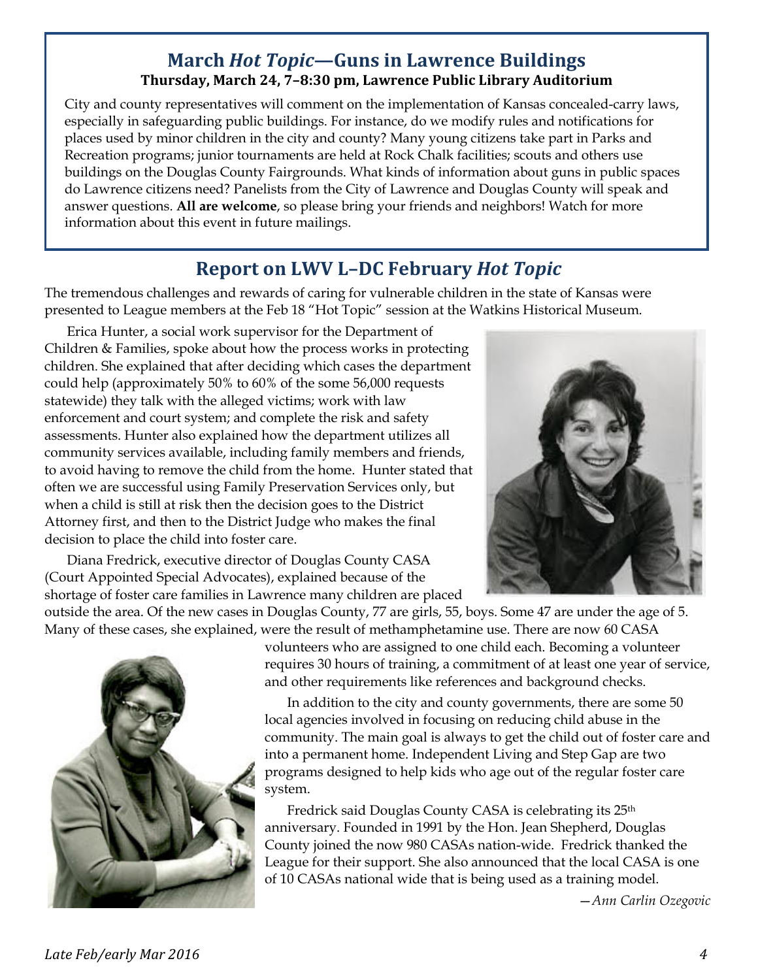#### **March** *Hot Topic***—Guns in Lawrence Buildings Thursday, March 24, 7–8:30 pm, Lawrence Public Library Auditorium**

City and county representatives will comment on the implementation of Kansas concealed-carry laws, especially in safeguarding public buildings. For instance, do we modify rules and notifications for places used by minor children in the city and county? Many young citizens take part in Parks and Recreation programs; junior tournaments are held at Rock Chalk facilities; scouts and others use buildings on the Douglas County Fairgrounds. What kinds of information about guns in public spaces do Lawrence citizens need? Panelists from the City of Lawrence and Douglas County will speak and answer questions. **All are welcome**, so please bring your friends and neighbors! Watch for more information about this event in future mailings.

### **Report on LWV L–DC February** *Hot Topic*

The tremendous challenges and rewards of caring for vulnerable children in the state of Kansas were presented to League members at the Feb 18 "Hot Topic" session at the Watkins Historical Museum.

Erica Hunter, a social work supervisor for the Department of Children & Families, spoke about how the process works in protecting children. She explained that after deciding which cases the department could help (approximately 50% to 60% of the some 56,000 requests statewide) they talk with the alleged victims; work with law enforcement and court system; and complete the risk and safety assessments. Hunter also explained how the department utilizes all community services available, including family members and friends, to avoid having to remove the child from the home. Hunter stated that often we are successful using Family Preservation Services only, but when a child is still at risk then the decision goes to the District Attorney first, and then to the District Judge who makes the final decision to place the child into foster care.

Diana Fredrick, executive director of Douglas County CASA (Court Appointed Special Advocates), explained because of the



shortage of foster care families in Lawrence many children are placed outside the area. Of the new cases in Douglas County, 77 are girls, 55, boys. Some 47 are under the age of 5.

Many of these cases, she explained, were the result of methamphetamine use. There are now 60 CASA



volunteers who are assigned to one child each. Becoming a volunteer requires 30 hours of training, a commitment of at least one year of service, and other requirements like references and background checks.

In addition to the city and county governments, there are some 50 local agencies involved in focusing on reducing child abuse in the community. The main goal is always to get the child out of foster care and into a permanent home. Independent Living and Step Gap are two programs designed to help kids who age out of the regular foster care system.

Fredrick said Douglas County CASA is celebrating its 25th anniversary. Founded in 1991 by the Hon. Jean Shepherd, Douglas County joined the now 980 CASAs nation-wide. Fredrick thanked the League for their support. She also announced that the local CASA is one of 10 CASAs national wide that is being used as a training model.

—*Ann Carlin Ozegovic*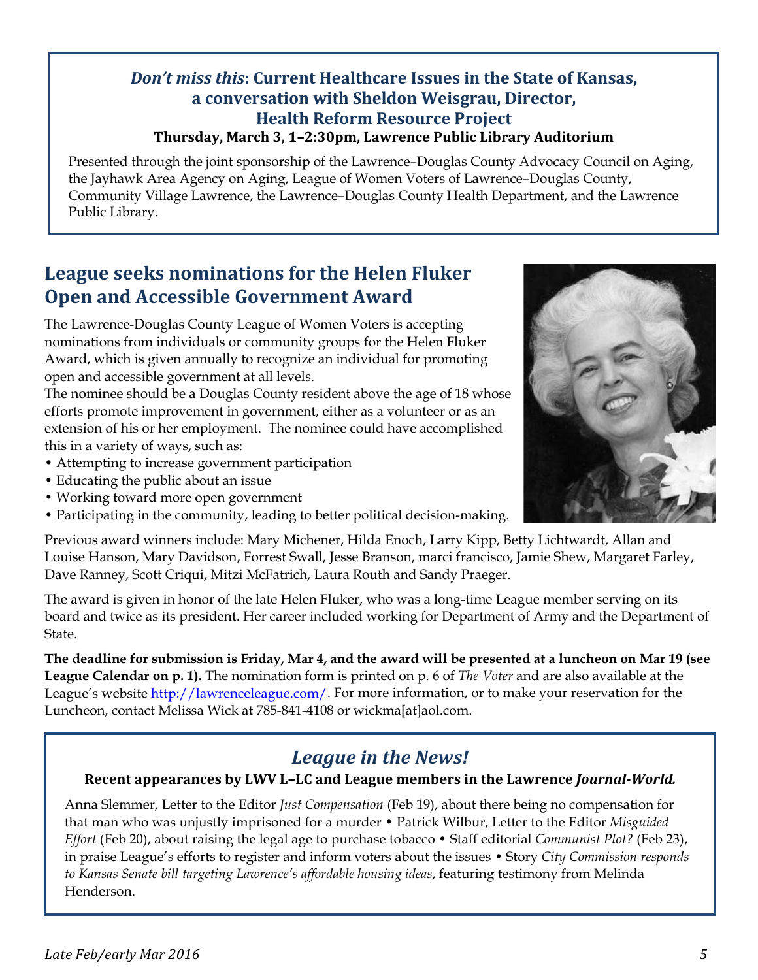#### *Don't miss this***: Current Healthcare Issues in the State of Kansas, a conversation with Sheldon Weisgrau, Director, Health Reform Resource Project Thursday, March 3, 1–2:30pm, Lawrence Public Library Auditorium**

Presented through the joint sponsorship of the Lawrence–Douglas County Advocacy Council on Aging, the Jayhawk Area Agency on Aging, League of Women Voters of Lawrence–Douglas County, Community Village Lawrence, the Lawrence–Douglas County Health Department, and the Lawrence Public Library.

### **League seeks nominations for the Helen Fluker Open and Accessible Government Award**

The Lawrence-Douglas County League of Women Voters is accepting nominations from individuals or community groups for the Helen Fluker Award, which is given annually to recognize an individual for promoting open and accessible government at all levels.

The nominee should be a Douglas County resident above the age of 18 whose efforts promote improvement in government, either as a volunteer or as an extension of his or her employment. The nominee could have accomplished this in a variety of ways, such as:

- Attempting to increase government participation
- Educating the public about an issue
- Working toward more open government
- Participating in the community, leading to better political decision-making.



Previous award winners include: Mary Michener, Hilda Enoch, Larry Kipp, Betty Lichtwardt, Allan and Louise Hanson, Mary Davidson, Forrest Swall, Jesse Branson, marci francisco, Jamie Shew, Margaret Farley, Dave Ranney, Scott Criqui, Mitzi McFatrich, Laura Routh and Sandy Praeger.

The award is given in honor of the late Helen Fluker, who was a long-time League member serving on its board and twice as its president. Her career included working for Department of Army and the Department of State.

**The deadline for submission is Friday, Mar 4, and the award will be presented at a luncheon on Mar 19 (see League Calendar on p. 1).** The nomination form is printed on p. 6 of *The Voter* and are also available at the League's website <http://lawrenceleague.com/>. For more information, or to make your reservation for the Luncheon, contact Melissa Wick at 785-841-4108 or wickma[at]aol.com.

### *League in the News!*

#### **Recent appearances by LWV L–LC and League members in the Lawrence** *Journal-World.*

Anna Slemmer, Letter to the Editor *Just Compensation* (Feb 19), about there being no compensation for that man who was unjustly imprisoned for a murder • Patrick Wilbur, Letter to the Editor *Misguided Effort* (Feb 20), about raising the legal age to purchase tobacco • Staff editorial *Communist Plot?* (Feb 23), in praise League's efforts to register and inform voters about the issues • Story *City Commission responds to Kansas Senate bill targeting Lawrence's affordable housing ideas*, featuring testimony from Melinda Henderson.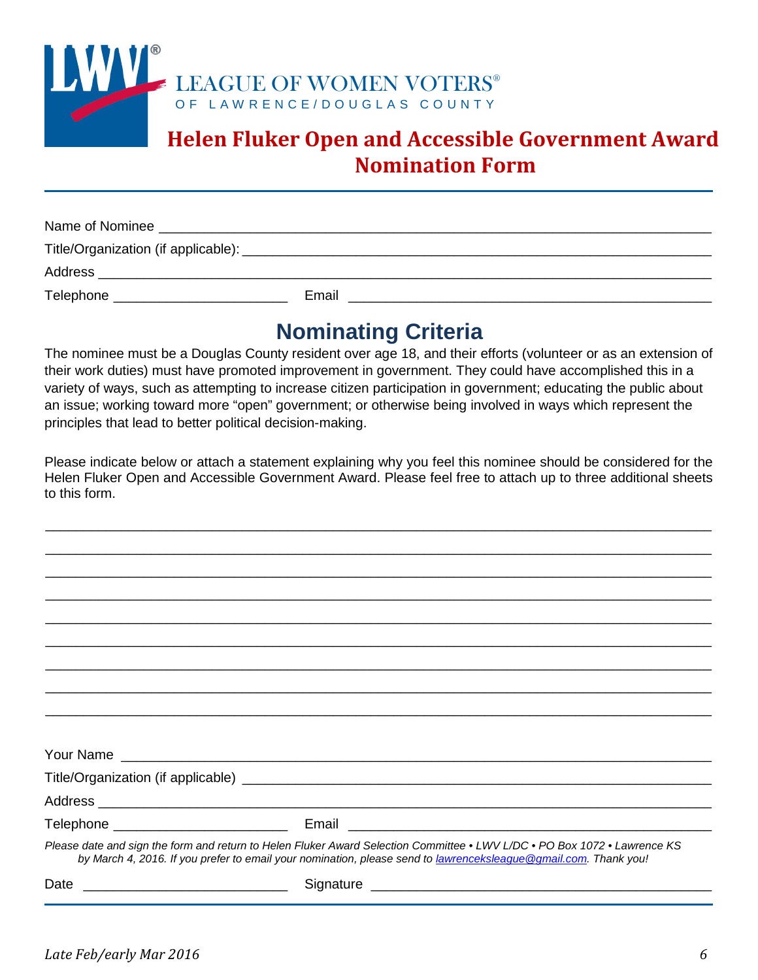

### **Helen Fluker Open and Accessible Government Award Nomination Form**

| Name of Nominee |       |
|-----------------|-------|
|                 |       |
| Address         |       |
| Telephone       | Email |

### **Nominating Criteria**

The nominee must be a Douglas County resident over age 18, and their efforts (volunteer or as an extension of their work duties) must have promoted improvement in government. They could have accomplished this in a variety of ways, such as attempting to increase citizen participation in government; educating the public about an issue; working toward more "open" government; or otherwise being involved in ways which represent the principles that lead to better political decision-making.

Please indicate below or attach a statement explaining why you feel this nominee should be considered for the Helen Fluker Open and Accessible Government Award. Please feel free to attach up to three additional sheets to this form.

\_\_\_\_\_\_\_\_\_\_\_\_\_\_\_\_\_\_\_\_\_\_\_\_\_\_\_\_\_\_\_\_\_\_\_\_\_\_\_\_\_\_\_\_\_\_\_\_\_\_\_\_\_\_\_\_\_\_\_\_\_\_\_\_\_\_\_\_\_\_\_\_\_\_\_\_\_\_\_\_\_\_\_\_\_\_\_\_

|                                                                                                                              | Please date and sign the form and return to Helen Fluker Award Selection Committee • LWV L/DC • PO Box 1072 • Lawrence KS<br>by March 4, 2016. If you prefer to email your nomination, please send to <i>lawrenceksleague</i> @gmail.com. Thank you! |
|------------------------------------------------------------------------------------------------------------------------------|------------------------------------------------------------------------------------------------------------------------------------------------------------------------------------------------------------------------------------------------------|
| Date<br><u> 1980 - Jan Stein Stein Stein Stein Stein Stein Stein Stein Stein Stein Stein Stein Stein Stein Stein Stein S</u> | Signature experience and the state of the state of the state of the state of the state of the state of the state of the state of the state of the state of the state of the state of the state of the state of the state of th                       |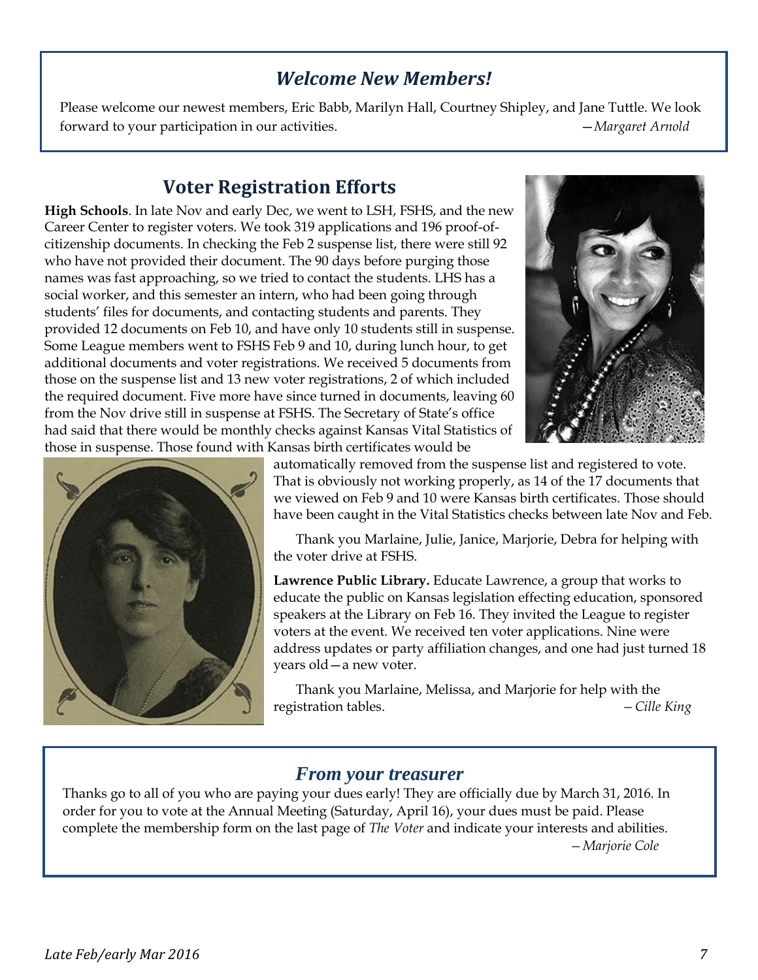### *Welcome New Members!*

Please welcome our newest members, Eric Babb, Marilyn Hall, Courtney Shipley, and Jane Tuttle. We look forward to your participation in our activities. —*Margaret Arnold*

### **Voter Registration Efforts**

**High Schools**. In late Nov and early Dec, we went to LSH, FSHS, and the new Career Center to register voters. We took 319 applications and 196 proof-ofcitizenship documents. In checking the Feb 2 suspense list, there were still 92 who have not provided their document. The 90 days before purging those names was fast approaching, so we tried to contact the students. LHS has a social worker, and this semester an intern, who had been going through students' files for documents, and contacting students and parents. They provided 12 documents on Feb 10, and have only 10 students still in suspense. Some League members went to FSHS Feb 9 and 10, during lunch hour, to get additional documents and voter registrations. We received 5 documents from those on the suspense list and 13 new voter registrations, 2 of which included the required document. Five more have since turned in documents, leaving 60 from the Nov drive still in suspense at FSHS. The Secretary of State's office had said that there would be monthly checks against Kansas Vital Statistics of those in suspense. Those found with Kansas birth certificates would be





automatically removed from the suspense list and registered to vote. That is obviously not working properly, as 14 of the 17 documents that we viewed on Feb 9 and 10 were Kansas birth certificates. Those should have been caught in the Vital Statistics checks between late Nov and Feb.

Thank you Marlaine, Julie, Janice, Marjorie, Debra for helping with the voter drive at FSHS.

**Lawrence Public Library.** Educate Lawrence, a group that works to educate the public on Kansas legislation effecting education, sponsored speakers at the Library on Feb 16. They invited the League to register voters at the event. We received ten voter applications. Nine were address updates or party affiliation changes, and one had just turned 18 years old—a new voter.

Thank you Marlaine, Melissa, and Marjorie for help with the registration tables. *—Cille King*

#### *From your treasurer*

Thanks go to all of you who are paying your dues early! They are officially due by March 31, 2016. In order for you to vote at the Annual Meeting (Saturday, April 16), your dues must be paid. Please complete the membership form on the last page of *The Voter* and indicate your interests and abilities. *—Marjorie Cole*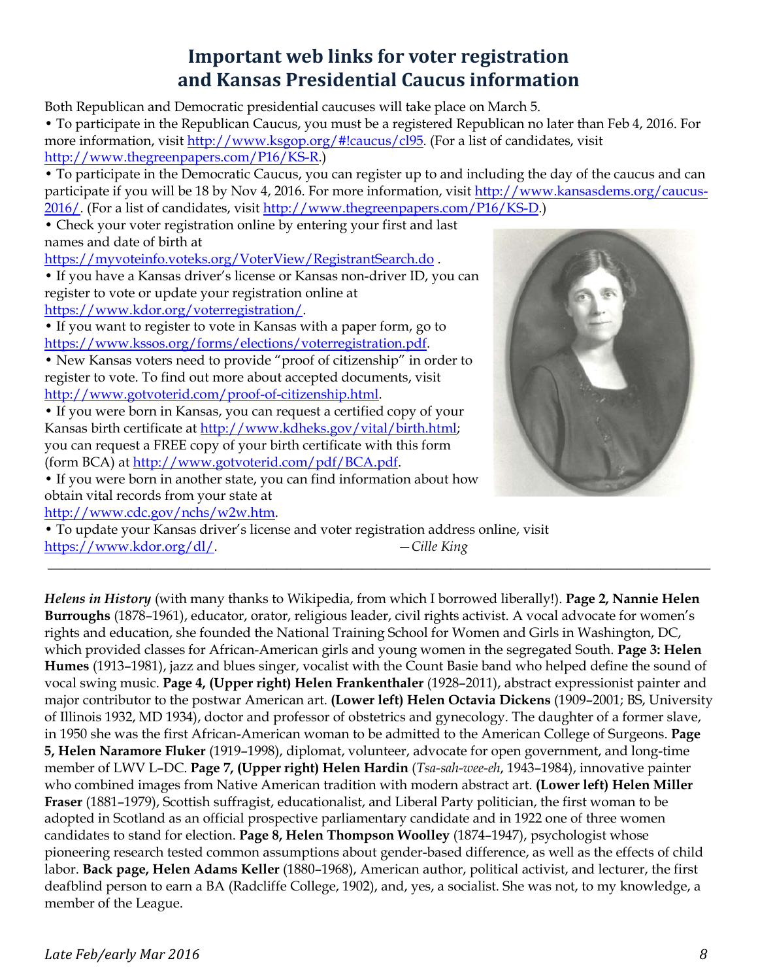### **Important web links for voter registration and Kansas Presidential Caucus information**

Both Republican and Democratic presidential caucuses will take place on March 5.

• To participate in the Republican Caucus, you must be a registered Republican no later than Feb 4, 2016. For more information, visit [http://www.ksgop.org/#!caucus/cl95.](http://www.ksgop.org/#!caucus/cl95) (For a list of candidates, visit [http://www.thegreenpapers.com/P16/KS](http://www.thegreenpapers.com/P16/KS-R)-R.)

• To participate in the Democratic Caucus, you can register up to and including the day of the caucus and can participate if you will be 18 by Nov 4, 2016. For more information, visit [http://www.kansas](http://www.kansasdems.org/caucus-2016/)dems.org/caucus-[2016/.](http://www.kansasdems.org/caucus-2016/) (For a list of candidates, visit [http://www.thegreenpapers.com/P16/KS](http://www.thegreenpapers.com/P16/KS-D)-D.)

• Check your voter registration online by entering your first and last names and date of birth at

<https://myvoteinfo.voteks.org/VoterView/RegistrantSearch.do> .

• If you have a Kansas driver's license or Kansas non-driver ID, you can register to vote or update your registration online at <https://www.kdor.org/voterregistration/>.

• If you want to register to vote in Kansas with a paper form, go to https://w[ww.kssos.org/forms/elections/voterregistration.pdf](https://www.kssos.org/forms/elections/voterregistration.pdf).

• New Kansas voters need to provide "proof of citizenship" in order to register to vote. To find out more about accepted documents, visit [http://www.gotvoterid.com/proof](http://www.gotvoterid.com/proof-of-citizenship.html)-of-citizenship.html.

• If you were born in Kansas, you can request a certified copy of your Kansas birth certificate at [http://www.kdheks.gov/vital/birth.html;](http://www.kdheks.gov/vital/birth.html) you can request a FREE copy of your birth certificate with this form (form BCA) at<http://www.gotvoterid.com/pdf/BCA.pdf>.

• If you were born in another state, you can find information about how obtain vital records from your state at

<http://www.cdc.gov/nchs/w2w.htm>.

• To update your Kansas driver's license and voter registration address online, visit [https://www.kdor.org/](https://www.kdor.org/dl/)dl/. —*Cille King*

*Helens in History* (with many thanks to Wikipedia, from which I borrowed liberally!). **Page 2, Nannie Helen Burroughs** (1878–1961), educator, orator, religious leader, civil rights activist. A vocal advocate for women's rights and education, she founded the National Training School for Women and Girls in Washington, DC, which provided classes for African-American girls and young women in the segregated South. **Page 3: Helen Humes** (1913–1981), jazz and blues singer, vocalist with the Count Basie band who helped define the sound of vocal swing music. **Page 4, (Upper right) Helen Frankenthaler** (1928–2011), abstract expressionist painter and major contributor to the postwar American art. **(Lower left) Helen Octavia Dickens** (1909–2001; BS, University of Illinois 1932, MD 1934), doctor and professor of obstetrics and gynecology. The daughter of a former slave, in 1950 she was the first African-American woman to be admitted to the American College of Surgeons. **Page 5, Helen Naramore Fluker** (1919–1998), diplomat, volunteer, advocate for open government, and long-time member of LWV L–DC. **Page 7, (Upper right) Helen Hardin** (*Tsa-sah-wee-eh*, 1943–1984), innovative painter who combined images from Native American tradition with modern abstract art. **(Lower left) Helen Miller Fraser** (1881–1979), Scottish suffragist, educationalist, and Liberal Party politician, the first woman to be adopted in Scotland as an official prospective parliamentary candidate and in 1922 one of three women candidates to stand for election. **Page 8, Helen Thompson Woolley** (1874–1947), psychologist whose pioneering research tested common assumptions about gender-based difference, as well as the effects of child labor. **Back page, Helen Adams Keller** (1880–1968), American author, political activist, and lecturer, the first deafblind person to earn a BA (Radcliffe College, 1902), and, yes, a socialist. She was not, to my knowledge, a member of the League.

**\_\_\_\_\_\_\_\_\_\_\_\_\_\_\_\_\_\_\_\_\_\_\_\_\_\_\_\_\_\_\_\_\_\_\_\_\_\_\_\_\_\_\_\_\_\_\_\_\_\_\_\_\_\_\_\_\_\_\_\_\_\_\_\_\_\_\_\_\_\_\_\_\_\_\_\_\_\_\_\_\_\_\_\_\_\_\_\_\_\_\_\_\_\_\_\_\_**



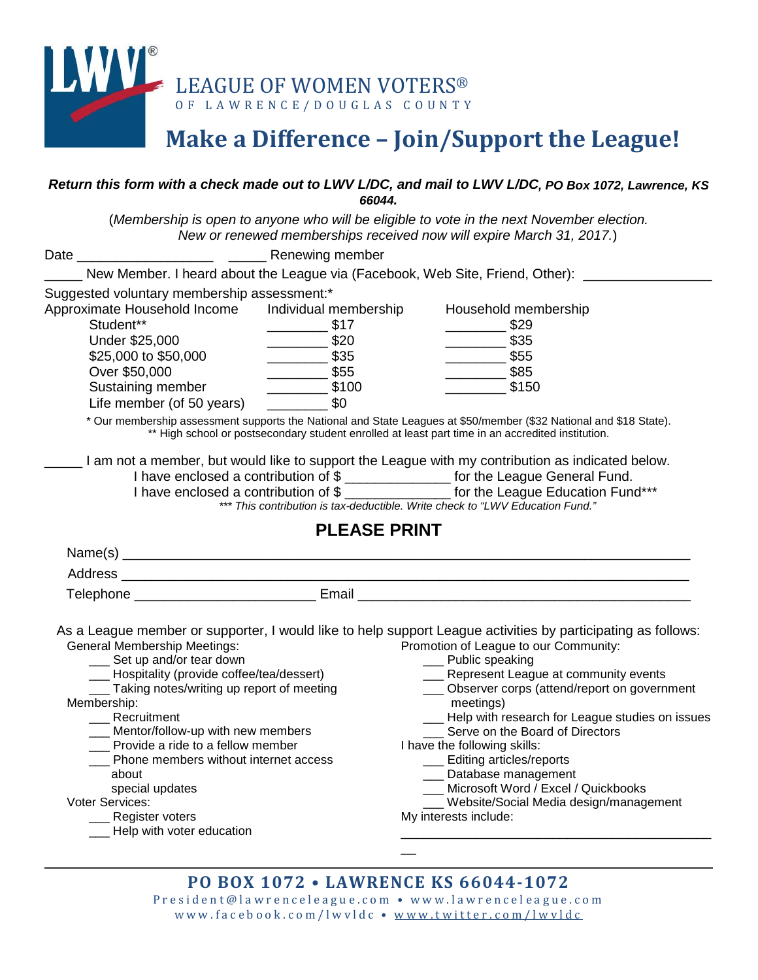

## **Make a Difference – Join/Support the League!**

#### *Return this form with a check made out to LWV L/DC, and mail to LWV L/DC, PO Box 1072, Lawrence, KS 66044.*

(*Membership is open to anyone who will be eligible to vote in the next November election. New or renewed memberships received now will expire March 31, 2017.*)

| New Member. I heard about the League via (Facebook, Web Site, Friend, Other):                                                                                                                                                                                                                                                                                                                                                   |                                                                                                                                                       |                                                                                                                                                                                                                                                                                                                                                                                                                                                                                                                                                                                              |
|---------------------------------------------------------------------------------------------------------------------------------------------------------------------------------------------------------------------------------------------------------------------------------------------------------------------------------------------------------------------------------------------------------------------------------|-------------------------------------------------------------------------------------------------------------------------------------------------------|----------------------------------------------------------------------------------------------------------------------------------------------------------------------------------------------------------------------------------------------------------------------------------------------------------------------------------------------------------------------------------------------------------------------------------------------------------------------------------------------------------------------------------------------------------------------------------------------|
| Suggested voluntary membership assessment:*<br>Approximate Household Income<br>Student**<br>Under \$25,000<br>\$25,000 to \$50,000<br>Over \$50,000<br>Sustaining member<br>Life member (of 50 years)                                                                                                                                                                                                                           | Individual membership<br>$\frac{\ }{\ }$ \$17<br>$\frac{\ }{\ }$ \$20<br>$\frac{\ }{\ }$ \$35<br>$\frac{\ }{\ }$ \$55<br>$\frac{\ }{\ }$ \$100<br>\$0 | Household membership<br>$\frac{\ }{\ }$ \$29<br>$\frac{\ }{\ }$ \$35<br>$\frac{\ }{\ }$ \$55<br>$\frac{\ }{\ }$ \$85<br>\$150<br>* Our membership assessment supports the National and State Leagues at \$50/member (\$32 National and \$18 State).<br>** High school or postsecondary student enrolled at least part time in an accredited institution.<br>I am not a member, but would like to support the League with my contribution as indicated below.                                                                                                                                 |
|                                                                                                                                                                                                                                                                                                                                                                                                                                 |                                                                                                                                                       | I have enclosed a contribution of \$ ________________ for the League General Fund.<br>I have enclosed a contribution of \$ ________________ for the League Education Fund***                                                                                                                                                                                                                                                                                                                                                                                                                 |
|                                                                                                                                                                                                                                                                                                                                                                                                                                 |                                                                                                                                                       | *** This contribution is tax-deductible. Write check to "LWV Education Fund."                                                                                                                                                                                                                                                                                                                                                                                                                                                                                                                |
|                                                                                                                                                                                                                                                                                                                                                                                                                                 | <b>PLEASE PRINT</b>                                                                                                                                   |                                                                                                                                                                                                                                                                                                                                                                                                                                                                                                                                                                                              |
|                                                                                                                                                                                                                                                                                                                                                                                                                                 |                                                                                                                                                       |                                                                                                                                                                                                                                                                                                                                                                                                                                                                                                                                                                                              |
|                                                                                                                                                                                                                                                                                                                                                                                                                                 |                                                                                                                                                       |                                                                                                                                                                                                                                                                                                                                                                                                                                                                                                                                                                                              |
|                                                                                                                                                                                                                                                                                                                                                                                                                                 |                                                                                                                                                       | Telephone _________________________________ Email ______________________________                                                                                                                                                                                                                                                                                                                                                                                                                                                                                                             |
| <b>General Membership Meetings:</b><br>__ Set up and/or tear down<br>___ Hospitality (provide coffee/tea/dessert)<br>___ Taking notes/writing up report of meeting<br>Membership:<br>__ Recruitment<br>___ Mentor/follow-up with new members<br>Provide a ride to a fellow member<br>Phone members without internet access<br>about<br>special updates<br>Voter Services:<br>__ Register voters<br>__ Help with voter education |                                                                                                                                                       | As a League member or supporter, I would like to help support League activities by participating as follows:<br>Promotion of League to our Community:<br>__ Public speaking<br>__ Represent League at community events<br>___ Observer corps (attend/report on government<br>meetings)<br>- Help with research for League studies on issues<br>__ Serve on the Board of Directors<br>I have the following skills:<br>__ Editing articles/reports<br>__ Database management<br>___ Microsoft Word / Excel / Quickbooks<br>___ Website/Social Media design/management<br>My interests include: |
|                                                                                                                                                                                                                                                                                                                                                                                                                                 |                                                                                                                                                       |                                                                                                                                                                                                                                                                                                                                                                                                                                                                                                                                                                                              |
|                                                                                                                                                                                                                                                                                                                                                                                                                                 | <b>PO BOX 1072 • LAWRENCE KS 66044-1072</b>                                                                                                           |                                                                                                                                                                                                                                                                                                                                                                                                                                                                                                                                                                                              |

President@lawrenceleague.com • www.lawrenceleague.com www.facebook.com/lwvldc • [www.twitter.com/lwvldc](http://www.twitter.com/lwvldc)